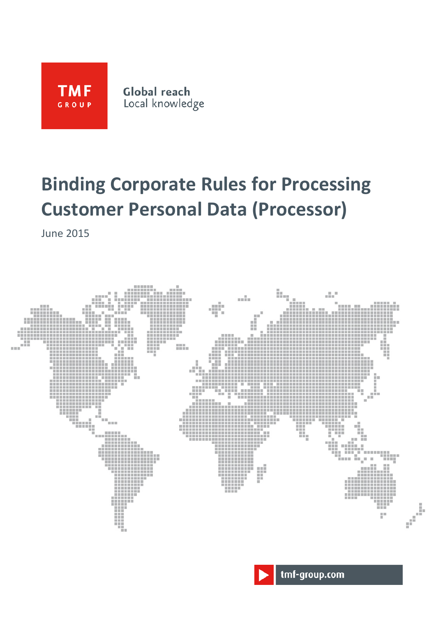

Global reach Local knowledge

# **Binding Corporate Rules for Processing Customer Personal Data (Processor)**

June 2015



tmf-group.com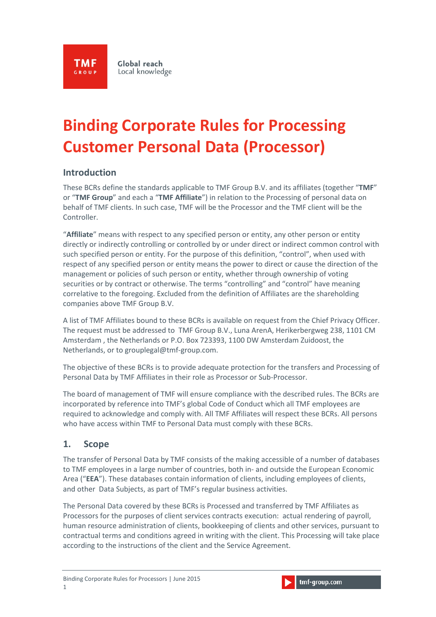**TMF GROUP** 

Global reach Local knowledge

# **Binding Corporate Rules for Processing Customer Personal Data (Processor)**

# **Introduction**

These BCRs define the standards applicable to TMF Group B.V. and its affiliates (together "**TMF**" or "**TMF Group**" and each a "**TMF Affiliate**") in relation to the Processing of personal data on behalf of TMF clients. In such case, TMF will be the Processor and the TMF client will be the Controller.

"**Affiliate**" means with respect to any specified person or entity, any other person or entity directly or indirectly controlling or controlled by or under direct or indirect common control with such specified person or entity. For the purpose of this definition, "control", when used with respect of any specified person or entity means the power to direct or cause the direction of the management or policies of such person or entity, whether through ownership of voting securities or by contract or otherwise. The terms "controlling" and "control" have meaning correlative to the foregoing. Excluded from the definition of Affiliates are the shareholding companies above TMF Group B.V.

A list of TMF Affiliates bound to these BCRs is available on request from the Chief Privacy Officer. The request must be addressed to TMF Group B.V., Luna ArenA, Herikerbergweg 238, 1101 CM Amsterdam , the Netherlands or P.O. Box 723393, 1100 DW Amsterdam Zuidoost, the Netherlands, or to grouplegal@tmf-group.com.

The objective of these BCRs is to provide adequate protection for the transfers and Processing of Personal Data by TMF Affiliates in their role as Processor or Sub-Processor.

The board of management of TMF will ensure compliance with the described rules. The BCRs are incorporated by reference into TMF's global Code of Conduct which all TMF employees are required to acknowledge and comply with. All TMF Affiliates will respect these BCRs. All persons who have access within TMF to Personal Data must comply with these BCRs.

#### **1. Scope**

The transfer of Personal Data by TMF consists of the making accessible of a number of databases to TMF employees in a large number of countries, both in- and outside the European Economic Area ("**EEA**"). These databases contain information of clients, including employees of clients, and other Data Subjects, as part of TMF's regular business activities.

The Personal Data covered by these BCRs is Processed and transferred by TMF Affiliates as Processors for the purposes of client services contracts execution: actual rendering of payroll, human resource administration of clients, bookkeeping of clients and other services, pursuant to contractual terms and conditions agreed in writing with the client. This Processing will take place according to the instructions of the client and the Service Agreement.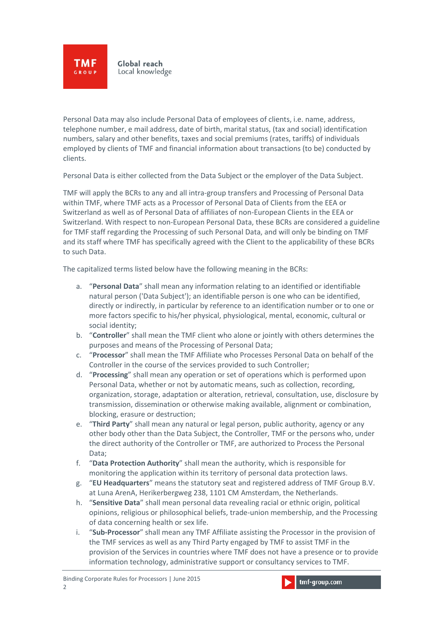Personal Data may also include Personal Data of employees of clients, i.e. name, address, telephone number, e mail address, date of birth, marital status, (tax and social) identification numbers, salary and other benefits, taxes and social premiums (rates, tariffs) of individuals employed by clients of TMF and financial information about transactions (to be) conducted by clients.

Personal Data is either collected from the Data Subject or the employer of the Data Subject.

TMF will apply the BCRs to any and all intra-group transfers and Processing of Personal Data within TMF, where TMF acts as a Processor of Personal Data of Clients from the EEA or Switzerland as well as of Personal Data of affiliates of non-European Clients in the EEA or Switzerland. With respect to non-European Personal Data, these BCRs are considered a guideline for TMF staff regarding the Processing of such Personal Data, and will only be binding on TMF and its staff where TMF has specifically agreed with the Client to the applicability of these BCRs to such Data.

The capitalized terms listed below have the following meaning in the BCRs:

- a. "**Personal Data**" shall mean any information relating to an identified or identifiable natural person ('Data Subject'); an identifiable person is one who can be identified, directly or indirectly, in particular by reference to an identification number or to one or more factors specific to his/her physical, physiological, mental, economic, cultural or social identity;
- b. "**Controller**" shall mean the TMF client who alone or jointly with others determines the purposes and means of the Processing of Personal Data;
- c. "**Processor**" shall mean the TMF Affiliate who Processes Personal Data on behalf of the Controller in the course of the services provided to such Controller;
- d. "**Processing**" shall mean any operation or set of operations which is performed upon Personal Data, whether or not by automatic means, such as collection, recording, organization, storage, adaptation or alteration, retrieval, consultation, use, disclosure by transmission, dissemination or otherwise making available, alignment or combination, blocking, erasure or destruction;
- e. "**Third Party**" shall mean any natural or legal person, public authority, agency or any other body other than the Data Subject, the Controller, TMF or the persons who, under the direct authority of the Controller or TMF, are authorized to Process the Personal Data;
- f. "**Data Protection Authority**" shall mean the authority, which is responsible for monitoring the application within its territory of personal data protection laws.
- g. "**EU Headquarters**" means the statutory seat and registered address of TMF Group B.V. at Luna ArenA, Herikerbergweg 238, 1101 CM Amsterdam, the Netherlands.
- h. "**Sensitive Data**" shall mean personal data revealing racial or ethnic origin, political opinions, religious or philosophical beliefs, trade-union membership, and the Processing of data concerning health or sex life.
- i. "**Sub-Processor**" shall mean any TMF Affiliate assisting the Processor in the provision of the TMF services as well as any Third Party engaged by TMF to assist TMF in the provision of the Services in countries where TMF does not have a presence or to provide information technology, administrative support or consultancy services to TMF.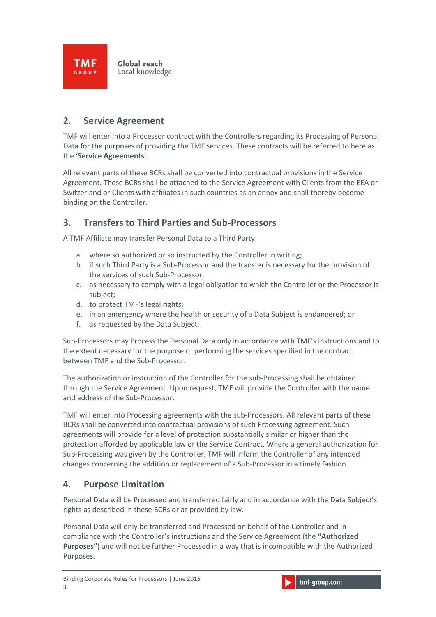# **2. Service Agreement**

TMF will enter into a Processor contract with the Controllers regarding its Processing of Personal Data for the purposes of providing the TMF services. These contracts will be referred to here as the '**Service Agreements**'.

All relevant parts of these BCRs shall be converted into contractual provisions in the Service Agreement. These BCRs shall be attached to the Service Agreement with Clients from the EEA or Switzerland or Clients with affiliates in such countries as an annex and shall thereby become binding on the Controller.

# **3. Transfers to Third Parties and Sub-Processors**

A TMF Affiliate may transfer Personal Data to a Third Party:

- a. where so authorized or so instructed by the Controller in writing;
- b. if such Third Party is a Sub-Processor and the transfer is necessary for the provision of the services of such Sub-Processor;
- c. as necessary to comply with a legal obligation to which the Controller or the Processor is subject;
- d. to protect TMF's legal rights;
- e. in an emergency where the health or security of a Data Subject is endangered; or
- f. as requested by the Data Subject.

Sub-Processors may Process the Personal Data only in accordance with TMF's instructions and to the extent necessary for the purpose of performing the services specified in the contract between TMF and the Sub-Processor.

The authorization or instruction of the Controller for the sub-Processing shall be obtained through the Service Agreement. Upon request, TMF will provide the Controller with the name and address of the Sub-Processor.

TMF will enter into Processing agreements with the sub-Processors. All relevant parts of these BCRs shall be converted into contractual provisions of such Processing agreement. Such agreements will provide for a level of protection substantially similar or higher than the protection afforded by applicable law or the Service Contract. Where a general authorization for Sub-Processing was given by the Controller, TMF will inform the Controller of any intended changes concerning the addition or replacement of a Sub-Processor in a timely fashion.

# **4. Purpose Limitation**

Personal Data will be Processed and transferred fairly and in accordance with the Data Subject's rights as described in these BCRs or as provided by law.

Personal Data will only be transferred and Processed on behalf of the Controller and in compliance with the Controller's instructions and the Service Agreement (the **"Authorized Purposes"**) and will not be further Processed in a way that is incompatible with the Authorized Purposes.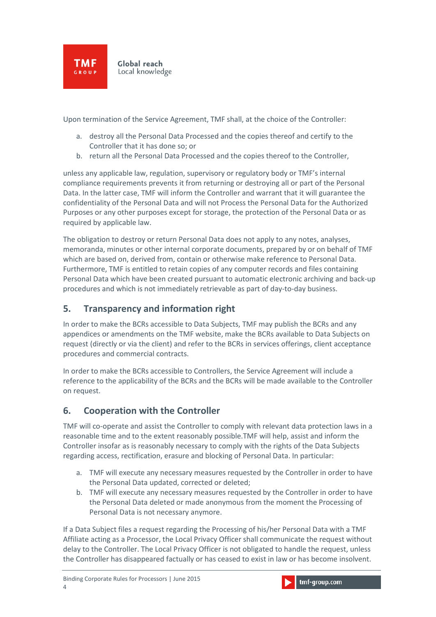Upon termination of the Service Agreement, TMF shall, at the choice of the Controller:

- a. destroy all the Personal Data Processed and the copies thereof and certify to the Controller that it has done so; or
- b. return all the Personal Data Processed and the copies thereof to the Controller,

unless any applicable law, regulation, supervisory or regulatory body or TMF's internal compliance requirements prevents it from returning or destroying all or part of the Personal Data. In the latter case, TMF will inform the Controller and warrant that it will guarantee the confidentiality of the Personal Data and will not Process the Personal Data for the Authorized Purposes or any other purposes except for storage, the protection of the Personal Data or as required by applicable law.

The obligation to destroy or return Personal Data does not apply to any notes, analyses, memoranda, minutes or other internal corporate documents, prepared by or on behalf of TMF which are based on, derived from, contain or otherwise make reference to Personal Data. Furthermore, TMF is entitled to retain copies of any computer records and files containing Personal Data which have been created pursuant to automatic electronic archiving and back-up procedures and which is not immediately retrievable as part of day-to-day business.

# **5. Transparency and information right**

In order to make the BCRs accessible to Data Subjects, TMF may publish the BCRs and any appendices or amendments on the TMF website, make the BCRs available to Data Subjects on request (directly or via the client) and refer to the BCRs in services offerings, client acceptance procedures and commercial contracts.

In order to make the BCRs accessible to Controllers, the Service Agreement will include a reference to the applicability of the BCRs and the BCRs will be made available to the Controller on request.

# **6. Cooperation with the Controller**

TMF will co-operate and assist the Controller to comply with relevant data protection laws in a reasonable time and to the extent reasonably possible.TMF will help, assist and inform the Controller insofar as is reasonably necessary to comply with the rights of the Data Subjects regarding access, rectification, erasure and blocking of Personal Data. In particular:

- a. TMF will execute any necessary measures requested by the Controller in order to have the Personal Data updated, corrected or deleted;
- b. TMF will execute any necessary measures requested by the Controller in order to have the Personal Data deleted or made anonymous from the moment the Processing of Personal Data is not necessary anymore.

If a Data Subject files a request regarding the Processing of his/her Personal Data with a TMF Affiliate acting as a Processor, the Local Privacy Officer shall communicate the request without delay to the Controller. The Local Privacy Officer is not obligated to handle the request, unless the Controller has disappeared factually or has ceased to exist in law or has become insolvent.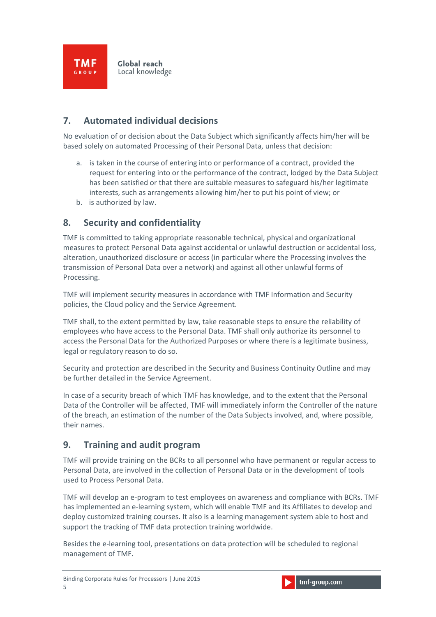# **7. Automated individual decisions**

No evaluation of or decision about the Data Subject which significantly affects him/her will be based solely on automated Processing of their Personal Data, unless that decision:

- a. is taken in the course of entering into or performance of a contract, provided the request for entering into or the performance of the contract, lodged by the Data Subject has been satisfied or that there are suitable measures to safeguard his/her legitimate interests, such as arrangements allowing him/her to put his point of view; or
- b. is authorized by law.

# **8. Security and confidentiality**

TMF is committed to taking appropriate reasonable technical, physical and organizational measures to protect Personal Data against accidental or unlawful destruction or accidental loss, alteration, unauthorized disclosure or access (in particular where the Processing involves the transmission of Personal Data over a network) and against all other unlawful forms of Processing.

TMF will implement security measures in accordance with TMF Information and Security policies, the Cloud policy and the Service Agreement.

TMF shall, to the extent permitted by law, take reasonable steps to ensure the reliability of employees who have access to the Personal Data. TMF shall only authorize its personnel to access the Personal Data for the Authorized Purposes or where there is a legitimate business, legal or regulatory reason to do so.

Security and protection are described in the Security and Business Continuity Outline and may be further detailed in the Service Agreement.

In case of a security breach of which TMF has knowledge, and to the extent that the Personal Data of the Controller will be affected, TMF will immediately inform the Controller of the nature of the breach, an estimation of the number of the Data Subjects involved, and, where possible, their names.

#### **9. Training and audit program**

TMF will provide training on the BCRs to all personnel who have permanent or regular access to Personal Data, are involved in the collection of Personal Data or in the development of tools used to Process Personal Data.

TMF will develop an e-program to test employees on awareness and compliance with BCRs. TMF has implemented an e-learning system, which will enable TMF and its Affiliates to develop and deploy customized training courses. It also is a learning management system able to host and support the tracking of TMF data protection training worldwide.

Besides the e-learning tool, presentations on data protection will be scheduled to regional management of TMF.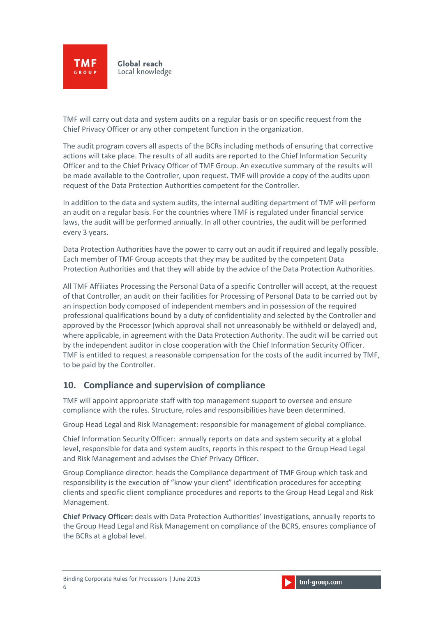Global reach Local knowledge

TMF will carry out data and system audits on a regular basis or on specific request from the Chief Privacy Officer or any other competent function in the organization.

The audit program covers all aspects of the BCRs including methods of ensuring that corrective actions will take place. The results of all audits are reported to the Chief Information Security Officer and to the Chief Privacy Officer of TMF Group. An executive summary of the results will be made available to the Controller, upon request. TMF will provide a copy of the audits upon request of the Data Protection Authorities competent for the Controller.

In addition to the data and system audits, the internal auditing department of TMF will perform an audit on a regular basis. For the countries where TMF is regulated under financial service laws, the audit will be performed annually. In all other countries, the audit will be performed every 3 years.

Data Protection Authorities have the power to carry out an audit if required and legally possible. Each member of TMF Group accepts that they may be audited by the competent Data Protection Authorities and that they will abide by the advice of the Data Protection Authorities.

All TMF Affiliates Processing the Personal Data of a specific Controller will accept, at the request of that Controller, an audit on their facilities for Processing of Personal Data to be carried out by an inspection body composed of independent members and in possession of the required professional qualifications bound by a duty of confidentiality and selected by the Controller and approved by the Processor (which approval shall not unreasonably be withheld or delayed) and, where applicable, in agreement with the Data Protection Authority. The audit will be carried out by the independent auditor in close cooperation with the Chief Information Security Officer. TMF is entitled to request a reasonable compensation for the costs of the audit incurred by TMF, to be paid by the Controller.

#### **10. Compliance and supervision of compliance**

TMF will appoint appropriate staff with top management support to oversee and ensure compliance with the rules. Structure, roles and responsibilities have been determined.

Group Head Legal and Risk Management: responsible for management of global compliance.

Chief Information Security Officer: annually reports on data and system security at a global level, responsible for data and system audits, reports in this respect to the Group Head Legal and Risk Management and advises the Chief Privacy Officer.

Group Compliance director: heads the Compliance department of TMF Group which task and responsibility is the execution of "know your client" identification procedures for accepting clients and specific client compliance procedures and reports to the Group Head Legal and Risk Management.

**Chief Privacy Officer:** deals with Data Protection Authorities' investigations, annually reports to the Group Head Legal and Risk Management on compliance of the BCRS, ensures compliance of the BCRs at a global level.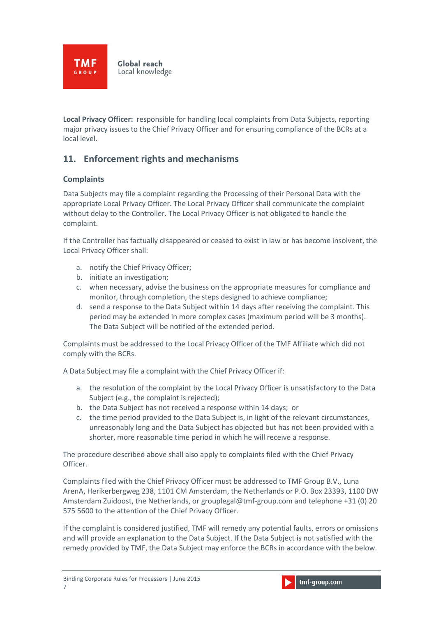

**Local Privacy Officer:** responsible for handling local complaints from Data Subjects, reporting major privacy issues to the Chief Privacy Officer and for ensuring compliance of the BCRs at a local level.

# **11. Enforcement rights and mechanisms**

#### **Complaints**

Data Subjects may file a complaint regarding the Processing of their Personal Data with the appropriate Local Privacy Officer. The Local Privacy Officer shall communicate the complaint without delay to the Controller. The Local Privacy Officer is not obligated to handle the complaint.

If the Controller has factually disappeared or ceased to exist in law or has become insolvent, the Local Privacy Officer shall:

- a. notify the Chief Privacy Officer;
- b. initiate an investigation;
- c. when necessary, advise the business on the appropriate measures for compliance and monitor, through completion, the steps designed to achieve compliance;
- d. send a response to the Data Subject within 14 days after receiving the complaint. This period may be extended in more complex cases (maximum period will be 3 months). The Data Subject will be notified of the extended period.

Complaints must be addressed to the Local Privacy Officer of the TMF Affiliate which did not comply with the BCRs.

A Data Subject may file a complaint with the Chief Privacy Officer if:

- a. the resolution of the complaint by the Local Privacy Officer is unsatisfactory to the Data Subject (e.g., the complaint is rejected);
- b. the Data Subject has not received a response within 14 days; or
- c. the time period provided to the Data Subject is, in light of the relevant circumstances, unreasonably long and the Data Subject has objected but has not been provided with a shorter, more reasonable time period in which he will receive a response.

The procedure described above shall also apply to complaints filed with the Chief Privacy Officer.

Complaints filed with the Chief Privacy Officer must be addressed to TMF Group B.V., Luna ArenA, Herikerbergweg 238, 1101 CM Amsterdam, the Netherlands or P.O. Box 23393, 1100 DW Amsterdam Zuidoost, the Netherlands, or grouplegal@tmf-group.com and telephone +31 (0) 20 575 5600 to the attention of the Chief Privacy Officer.

If the complaint is considered justified, TMF will remedy any potential faults, errors or omissions and will provide an explanation to the Data Subject. If the Data Subject is not satisfied with the remedy provided by TMF, the Data Subject may enforce the BCRs in accordance with the below.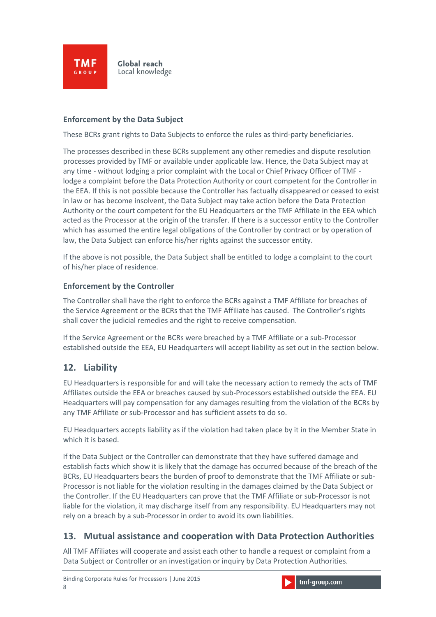#### **Enforcement by the Data Subject**

These BCRs grant rights to Data Subjects to enforce the rules as third-party beneficiaries.

The processes described in these BCRs supplement any other remedies and dispute resolution processes provided by TMF or available under applicable law. Hence, the Data Subject may at any time - without lodging a prior complaint with the Local or Chief Privacy Officer of TMF lodge a complaint before the Data Protection Authority or court competent for the Controller in the EEA. If this is not possible because the Controller has factually disappeared or ceased to exist in law or has become insolvent, the Data Subject may take action before the Data Protection Authority or the court competent for the EU Headquarters or the TMF Affiliate in the EEA which acted as the Processor at the origin of the transfer. If there is a successor entity to the Controller which has assumed the entire legal obligations of the Controller by contract or by operation of law, the Data Subject can enforce his/her rights against the successor entity.

If the above is not possible, the Data Subject shall be entitled to lodge a complaint to the court of his/her place of residence.

#### **Enforcement by the Controller**

The Controller shall have the right to enforce the BCRs against a TMF Affiliate for breaches of the Service Agreement or the BCRs that the TMF Affiliate has caused. The Controller's rights shall cover the judicial remedies and the right to receive compensation.

If the Service Agreement or the BCRs were breached by a TMF Affiliate or a sub-Processor established outside the EEA, EU Headquarters will accept liability as set out in the section below.

#### **12. Liability**

EU Headquarters is responsible for and will take the necessary action to remedy the acts of TMF Affiliates outside the EEA or breaches caused by sub-Processors established outside the EEA. EU Headquarters will pay compensation for any damages resulting from the violation of the BCRs by any TMF Affiliate or sub-Processor and has sufficient assets to do so.

EU Headquarters accepts liability as if the violation had taken place by it in the Member State in which it is based.

If the Data Subject or the Controller can demonstrate that they have suffered damage and establish facts which show it is likely that the damage has occurred because of the breach of the BCRs, EU Headquarters bears the burden of proof to demonstrate that the TMF Affiliate or sub-Processor is not liable for the violation resulting in the damages claimed by the Data Subject or the Controller. If the EU Headquarters can prove that the TMF Affiliate or sub-Processor is not liable for the violation, it may discharge itself from any responsibility. EU Headquarters may not rely on a breach by a sub-Processor in order to avoid its own liabilities.

# **13. Mutual assistance and cooperation with Data Protection Authorities**

All TMF Affiliates will cooperate and assist each other to handle a request or complaint from a Data Subject or Controller or an investigation or inquiry by Data Protection Authorities.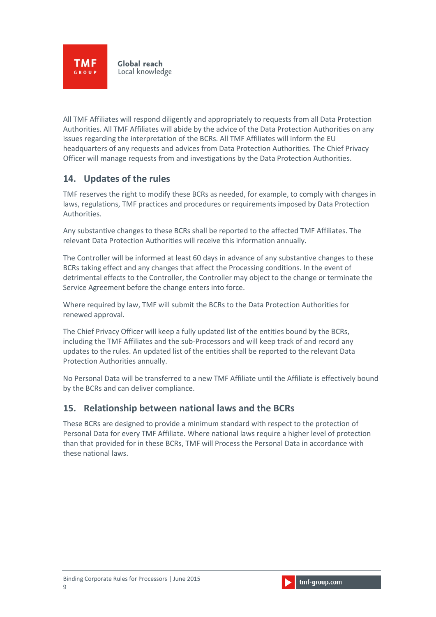All TMF Affiliates will respond diligently and appropriately to requests from all Data Protection Authorities. All TMF Affiliates will abide by the advice of the Data Protection Authorities on any issues regarding the interpretation of the BCRs. All TMF Affiliates will inform the EU headquarters of any requests and advices from Data Protection Authorities. The Chief Privacy Officer will manage requests from and investigations by the Data Protection Authorities.

# **14. Updates of the rules**

TMF reserves the right to modify these BCRs as needed, for example, to comply with changes in laws, regulations, TMF practices and procedures or requirements imposed by Data Protection Authorities.

Any substantive changes to these BCRs shall be reported to the affected TMF Affiliates. The relevant Data Protection Authorities will receive this information annually.

The Controller will be informed at least 60 days in advance of any substantive changes to these BCRs taking effect and any changes that affect the Processing conditions. In the event of detrimental effects to the Controller, the Controller may object to the change or terminate the Service Agreement before the change enters into force.

Where required by law, TMF will submit the BCRs to the Data Protection Authorities for renewed approval.

The Chief Privacy Officer will keep a fully updated list of the entities bound by the BCRs, including the TMF Affiliates and the sub-Processors and will keep track of and record any updates to the rules. An updated list of the entities shall be reported to the relevant Data Protection Authorities annually.

No Personal Data will be transferred to a new TMF Affiliate until the Affiliate is effectively bound by the BCRs and can deliver compliance.

#### **15. Relationship between national laws and the BCRs**

These BCRs are designed to provide a minimum standard with respect to the protection of Personal Data for every TMF Affiliate. Where national laws require a higher level of protection than that provided for in these BCRs, TMF will Process the Personal Data in accordance with these national laws.